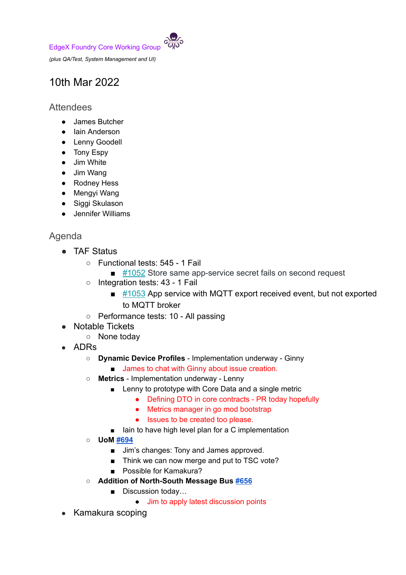EdgeX Foundry Core Working Group



*(plus QA/Test, System Management and UI)*

## 10th Mar 2022

## **Attendees**

- James Butcher
- Iain Anderson
- Lenny Goodell
- Tony Espy
- Jim White
- Jim Wang
- Rodney Hess
- Mengyi Wang
- Siggi Skulason
- Jennifer Williams

## Agenda

- TAF Status
	- Functional tests: 545 1 Fail
		- [#1052](https://github.com/edgexfoundry/app-functions-sdk-go/issues/1052) Store same app-service secret fails on second request
	- Integration tests: 43 1 Fail
		- $\blacksquare$  [#1053](https://github.com/edgexfoundry/app-functions-sdk-go/issues/1053) App service with MQTT export received event, but not exported to MQTT broker
	- Performance tests: 10 All passing
- Notable Tickets
	- None today
- ADRs
	- **○ Dynamic Device Profiles** Implementation underway Ginny
		- James to chat with Ginny about issue creation.
	- **○ Metrics** Implementation underway Lenny
		- Lenny to prototype with Core Data and a single metric
			- Defining DTO in core contracts PR today hopefully
			- Metrics manager in go mod bootstrap
			- Issues to be created too please.
		- Iain to have high level plan for a C implementation
	- **UoM [#694](https://github.com/edgexfoundry/edgex-docs/pull/694)**
		- Jim's changes: Tony and James approved.
		- Think we can now merge and put to TSC vote?
		- Possible for Kamakura?
	- **○ Addition of North-South Message Bus [#656](https://github.com/edgexfoundry/edgex-docs/pull/656)**
		- Discussion today...
			- **Jim to apply latest discussion points**
- Kamakura scoping